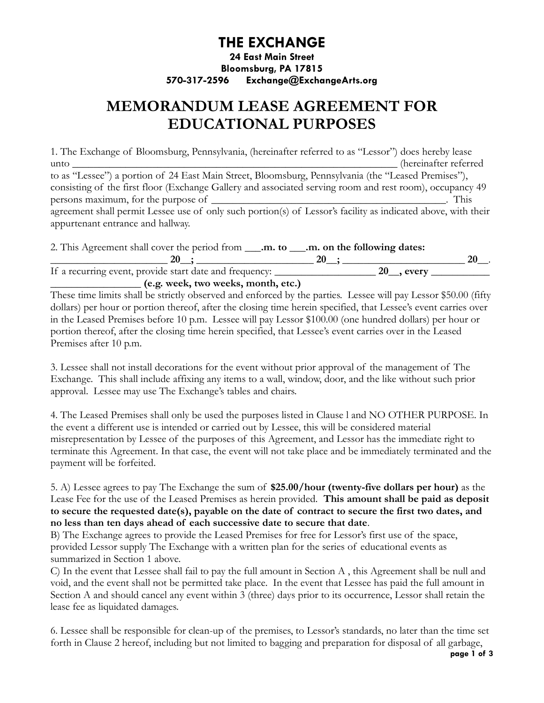## **THE EXCHANGE**

### **24 East Main Street Bloomsburg, PA 17815 570-317-2596 Exchange@ExchangeArts.org**

# **MEMORANDUM LEASE AGREEMENT FOR EDUCATIONAL PURPOSES**

1. The Exchange of Bloomsburg, Pennsylvania, (hereinafter referred to as "Lessor") does hereby lease unto **\_\_\_\_\_\_\_\_\_\_\_\_\_\_\_\_\_\_\_\_\_\_\_\_\_\_\_\_\_\_\_\_\_\_\_\_\_\_\_\_\_\_\_\_\_\_\_\_\_\_\_\_\_\_\_\_\_\_\_\_\_** (hereinafter referred to as "Lessee") a portion of 24 East Main Street, Bloomsburg, Pennsylvania (the "Leased Premises"), consisting of the first floor (Exchange Gallery and associated serving room and rest room), occupancy 49 persons maximum, for the purpose of **\_\_\_\_\_\_\_\_\_\_\_\_\_\_\_\_\_\_\_\_\_\_\_\_\_\_\_\_\_\_\_\_\_\_\_\_\_\_\_\_\_\_\_\_**. This agreement shall permit Lessee use of only such portion(s) of Lessor's facility as indicated above, with their appurtenant entrance and hallway.

| 2. This Agreement shall cover the period from <b>_____.m.</b> to <b>____.m.</b> on the following dates: |              |    |
|---------------------------------------------------------------------------------------------------------|--------------|----|
| 20-                                                                                                     | 20           | 20 |
| If a recurring event, provide start date and frequency:                                                 | $20$ , every |    |
| (e.g. week, two weeks, month, etc.)                                                                     |              |    |

These time limits shall be strictly observed and enforced by the parties. Lessee will pay Lessor \$50.00 (fifty dollars) per hour or portion thereof, after the closing time herein specified, that Lessee's event carries over in the Leased Premises before 10 p.m. Lessee will pay Lessor \$100.00 (one hundred dollars) per hour or portion thereof, after the closing time herein specified, that Lessee's event carries over in the Leased Premises after 10 p.m.

3. Lessee shall not install decorations for the event without prior approval of the management of The Exchange. This shall include affixing any items to a wall, window, door, and the like without such prior approval. Lessee may use The Exchange's tables and chairs.

4. The Leased Premises shall only be used the purposes listed in Clause l and NO OTHER PURPOSE. In the event a different use is intended or carried out by Lessee, this will be considered material misrepresentation by Lessee of the purposes of this Agreement, and Lessor has the immediate right to terminate this Agreement. In that case, the event will not take place and be immediately terminated and the payment will be forfeited.

5. A) Lessee agrees to pay The Exchange the sum of **\$25.00/hour (twenty-five dollars per hour)** as the Lease Fee for the use of the Leased Premises as herein provided. **This amount shall be paid as deposit to secure the requested date(s), payable on the date of contract to secure the first two dates, and no less than ten days ahead of each successive date to secure that date**.

B) The Exchange agrees to provide the Leased Premises for free for Lessor's first use of the space, provided Lessor supply The Exchange with a written plan for the series of educational events as summarized in Section 1 above.

C) In the event that Lessee shall fail to pay the full amount in Section A , this Agreement shall be null and void, and the event shall not be permitted take place. In the event that Lessee has paid the full amount in Section A and should cancel any event within 3 (three) days prior to its occurrence, Lessor shall retain the lease fee as liquidated damages.

6. Lessee shall be responsible for clean-up of the premises, to Lessor's standards, no later than the time set forth in Clause 2 hereof, including but not limited to bagging and preparation for disposal of all garbage,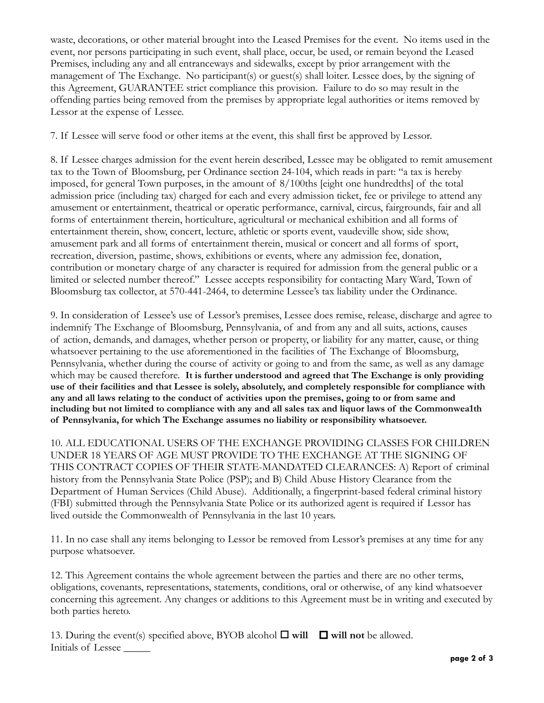waste, decorations, or other material brought into the Leased Premises for the event. No items used in the event, nor persons participating in such event, shall place, occur, be used, or remain beyond the Leased Premises, including any and all entranceways and sidewalks, except by prior arrangement with the management of The Exchange. No participant(s) or guest(s) shall loiter. Lessee does, by the signing of this Agreement, GUARANTEE strict compliance this provision. Failure to do so may result in the offending parties being removed from the premises by appropriate legal authorities or items removed by Lessor at the expense of Lessee.

7. If Lessee will serve food or other items at the event, this shall first be approved by Lessor.

8. If Lessee charges admission for the event herein described, Lessee may be obligated to remit amusement tax to the Town of Bloomsburg, per Ordinance section 24-104, which reads in part: "a tax is hereby imposed, for general Town purposes, in the amount of 8/100ths [eight one hundredths] of the total admission price (including tax) charged for each and every admission ticket, fee or privilege to attend any amusement or entertainment, theatrical or operatic performance, carnival, circus, fairgrounds, fair and all forms of entertainment therein, horticulture, agricultural or mechanical exhibition and all forms of entertainment therein, show, concert, lecture, athletic or sports event, vaudeville show, side show, amusement park and all forms of entertainment therein, musical or concert and all forms of sport, recreation, diversion, pastime, shows, exhibitions or events, where any admission fee, donation, contribution or monetary charge of any character is required for admission from the general public or a limited or selected number thereof." Lessee accepts responsibility for contacting Mary Ward, Town of Bloomsburg tax collector, at 570-441-2464, to determine Lessee's tax liability under the Ordinance.

9. In consideration of Lessee's use of Lessor's premises, Lessee does remise, release, discharge and agree to indemnify The Exchange of Bloomsburg, Pennsylvania, of and from any and all suits, actions, causes of action, demands, and damages, whether person or property, or liability for any matter, cause, or thing whatsoever pertaining to the use aforementioned in the facilities of The Exchange of Bloomsburg, Pennsylvania, whether during the course of activity or going to and from the same, as well as any damage which may be caused therefore. **It is further understood and agreed that The Exchange is only providing use of their facilities and that Lessee is solely, absolutely, and completely responsible for compliance with any and all laws relating to the conduct of activities upon the premises, going to or from same and including but not limited to compliance with any and all sales tax and liquor laws of the Commonwea1th of Pennsylvania, for which The Exchange assumes no liability or responsibility whatsoever.**

10. ALL EDUCATIONAL USERS OF THE EXCHANGE PROVIDING CLASSES FOR CHILDREN UNDER 18 YEARS OF AGE MUST PROVIDE TO THE EXCHANGE AT THE SIGNING OF THIS CONTRACT COPIES OF THEIR STATE-MANDATED CLEARANCES: A) Report of criminal history from the Pennsylvania State Police (PSP); and B) Child Abuse History Clearance from the Department of Human Services (Child Abuse). Additionally, a fingerprint-based federal criminal history (FBI) submitted through the Pennsylvania State Police or its authorized agent is required if Lessor has lived outside the Commonwealth of Pennsylvania in the last 10 years.

11. In no case shall any items belonging to Lessor be removed from Lessor's premises at any time for any purpose whatsoever.

12. This Agreement contains the whole agreement between the parties and there are no other terms, obligations, covenants, representations, statements, conditions, oral or otherwise, of any kind whatsoever concerning this agreement. Any changes or additions to this Agreement must be in writing and executed by both parties hereto.

13. During the event(s) specified above, BYOB alcohol  $\Box$  will  $\Box$  will not be allowed. Initials of Lessee \_\_\_\_\_